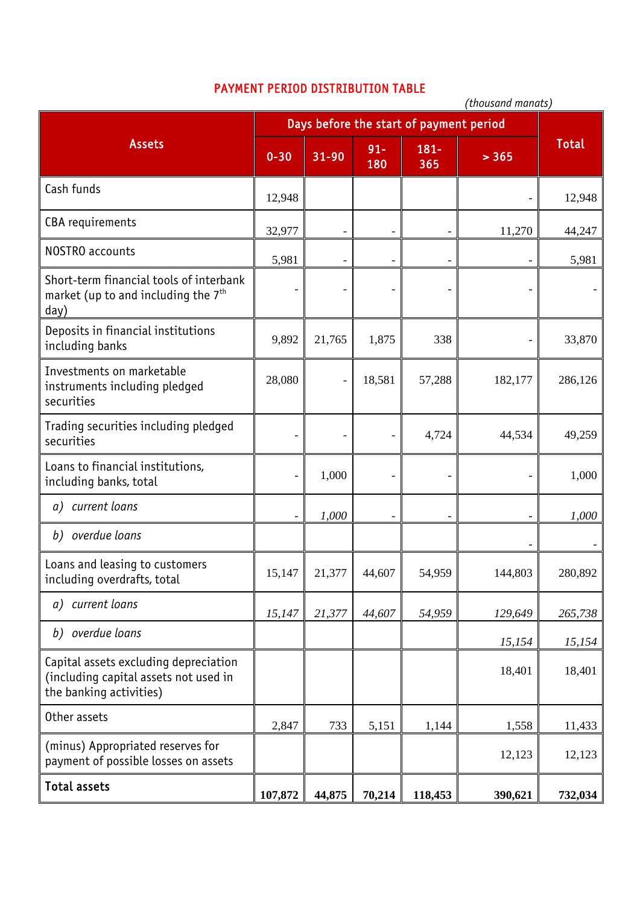## PAYMENT PERIOD DISTRIBUTION TABLE

|                                                                                                           | (thousand manats)                       |                          |               |                |         |              |
|-----------------------------------------------------------------------------------------------------------|-----------------------------------------|--------------------------|---------------|----------------|---------|--------------|
| <b>Assets</b>                                                                                             | Days before the start of payment period |                          |               |                |         |              |
|                                                                                                           | $0 - 30$                                | 31-90                    | $91 -$<br>180 | $181 -$<br>365 | > 365   | <b>Total</b> |
| Cash funds                                                                                                | 12,948                                  |                          |               |                |         | 12,948       |
| CBA requirements                                                                                          | 32,977                                  |                          |               |                | 11,270  | 44,247       |
| NOSTRO accounts                                                                                           | 5,981                                   | $\overline{\phantom{a}}$ |               |                |         | 5,981        |
| Short-term financial tools of interbank<br>market (up to and including the 7 <sup>th</sup><br>day)        |                                         |                          |               |                |         |              |
| Deposits in financial institutions<br>including banks                                                     | 9,892                                   | 21,765                   | 1,875         | 338            |         | 33,870       |
| Investments on marketable<br>instruments including pledged<br>securities                                  | 28,080                                  | $\overline{a}$           | 18,581        | 57,288         | 182,177 | 286,126      |
| Trading securities including pledged<br>securities                                                        |                                         |                          |               | 4,724          | 44,534  | 49,259       |
| Loans to financial institutions,<br>including banks, total                                                |                                         | 1,000                    |               |                |         | 1,000        |
| current loans<br>a)                                                                                       |                                         | 1,000                    |               |                |         | 1,000        |
| overdue loans<br>b)                                                                                       |                                         |                          |               |                |         |              |
| Loans and leasing to customers<br>including overdrafts, total                                             | 15,147                                  | 21,377                   | 44,607        | 54,959         | 144,803 | 280,892      |
| a) current loans                                                                                          | 15,147                                  | 21,377                   | 44,607        | 54,959         | 129,649 | 265,738      |
| b) overdue loans                                                                                          |                                         |                          |               |                | 15,154  | 15,154       |
| Capital assets excluding depreciation<br>(including capital assets not used in<br>the banking activities) |                                         |                          |               |                | 18,401  | 18,401       |
| Other assets                                                                                              | 2,847                                   | 733                      | 5,151         | 1,144          | 1,558   | 11,433       |
| (minus) Appropriated reserves for<br>payment of possible losses on assets                                 |                                         |                          |               |                | 12,123  | 12,123       |
| <b>Total assets</b>                                                                                       | 107,872                                 | 44,875                   | 70,214        | 118,453        | 390,621 | 732,034      |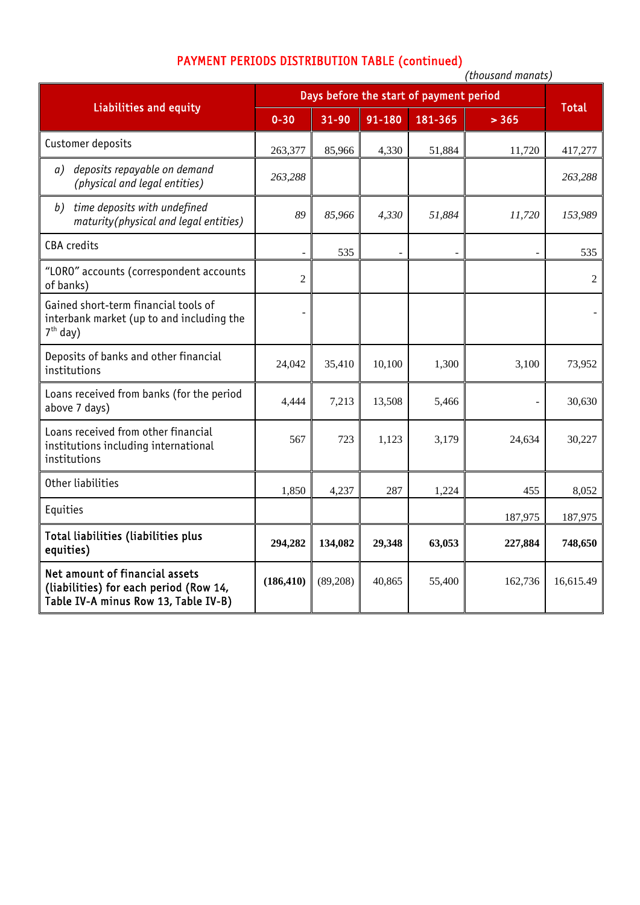## PAYMENT PERIODS DISTRIBUTION TABLE (continued)

|                                                                                                                  | (thousand manats)                       |           |        |         |         |              |
|------------------------------------------------------------------------------------------------------------------|-----------------------------------------|-----------|--------|---------|---------|--------------|
| <b>Liabilities and equity</b>                                                                                    | Days before the start of payment period |           |        |         |         |              |
|                                                                                                                  | $0 - 30$                                | $31 - 90$ | 91-180 | 181-365 | > 365   | <b>Total</b> |
| Customer deposits                                                                                                | 263,377                                 | 85,966    | 4,330  | 51,884  | 11,720  | 417,277      |
| deposits repayable on demand<br>a)<br>(physical and legal entities)                                              | 263,288                                 |           |        |         |         | 263,288      |
| time deposits with undefined<br>b)<br>maturity(physical and legal entities)                                      | 89                                      | 85,966    | 4,330  | 51,884  | 11,720  | 153,989      |
| <b>CBA</b> credits                                                                                               |                                         | 535       |        |         |         | 535          |
| "LORO" accounts (correspondent accounts<br>of banks)                                                             | $\overline{2}$                          |           |        |         |         | $\sqrt{2}$   |
| Gained short-term financial tools of<br>interbank market (up to and including the<br>$7th$ day)                  |                                         |           |        |         |         |              |
| Deposits of banks and other financial<br>institutions                                                            | 24,042                                  | 35,410    | 10,100 | 1,300   | 3,100   | 73,952       |
| Loans received from banks (for the period<br>above 7 days)                                                       | 4,444                                   | 7,213     | 13,508 | 5,466   |         | 30,630       |
| Loans received from other financial<br>institutions including international<br>institutions                      | 567                                     | 723       | 1,123  | 3,179   | 24,634  | 30,227       |
| Other liabilities                                                                                                | 1,850                                   | 4,237     | 287    | 1,224   | 455     | 8,052        |
| Equities                                                                                                         |                                         |           |        |         | 187,975 | 187,975      |
| Total liabilities (liabilities plus<br>equities)                                                                 | 294,282                                 | 134,082   | 29,348 | 63,053  | 227,884 | 748,650      |
| Net amount of financial assets<br>(liabilities) for each period (Row 14,<br>Table IV-A minus Row 13, Table IV-B) | (186, 410)                              | (89, 208) | 40,865 | 55,400  | 162,736 | 16,615.49    |